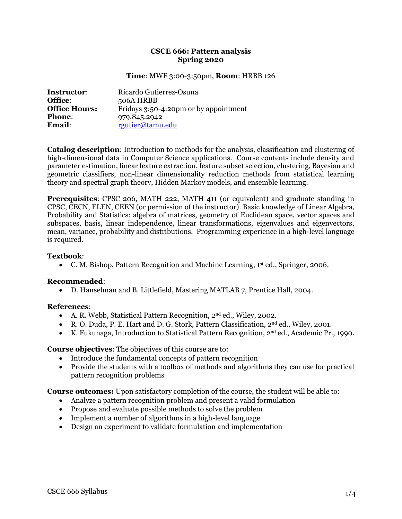## **CSCE 666: Pattern analysis Spring 2020**

### **Time**: MWF 3:00-3:50pm, **Room**: HRBB 126

| <b>Instructor:</b>   | Ricardo Gutierrez-Osuna               |
|----------------------|---------------------------------------|
| Office:              | 506A HRBB                             |
| <b>Office Hours:</b> | Fridays 3:50-4:20pm or by appointment |
| <b>Phone:</b>        | 979.845.2942                          |
| <b>Email:</b>        | rgutier@tamu.edu                      |

**Catalog description**: Introduction to methods for the analysis, classification and clustering of high-dimensional data in Computer Science applications. Course contents include density and parameter estimation, linear feature extraction, feature subset selection, clustering, Bayesian and geometric classifiers, non-linear dimensionality reduction methods from statistical learning theory and spectral graph theory, Hidden Markov models, and ensemble learning.

**Prerequisites**: CPSC 206, MATH 222, MATH 411 (or equivalent) and graduate standing in CPSC, CECN, ELEN, CEEN (or permission of the instructor). Basic knowledge of Linear Algebra, Probability and Statistics: algebra of matrices, geometry of Euclidean space, vector spaces and subspaces, basis, linear independence, linear transformations, eigenvalues and eigenvectors, mean, variance, probability and distributions. Programming experience in a high-level language is required.

# **Textbook**:

• C. M. Bishop, Pattern Recognition and Machine Learning, 1<sup>st</sup> ed., Springer, 2006.

### **Recommended**:

• D. Hanselman and B. Littlefield, Mastering MATLAB 7, Prentice Hall, 2004.

### **References**:

- A. R. Webb, Statistical Pattern Recognition,  $2<sup>nd</sup>$  ed., Wiley, 2002.
- R. O. Duda, P. E. Hart and D. G. Stork, Pattern Classification, 2nd ed., Wiley, 2001.
- K. Fukunaga, Introduction to Statistical Pattern Recognition, 2nd ed., Academic Pr., 1990.

# **Course objectives**: The objectives of this course are to:

- Introduce the fundamental concepts of pattern recognition
- Provide the students with a toolbox of methods and algorithms they can use for practical pattern recognition problems

**Course outcomes:** Upon satisfactory completion of the course, the student will be able to:

- Analyze a pattern recognition problem and present a valid formulation
- Propose and evaluate possible methods to solve the problem
- Implement a number of algorithms in a high-level language
- Design an experiment to validate formulation and implementation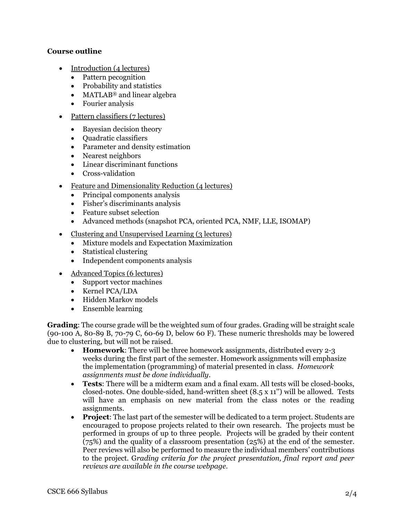# **Course outline**

- Introduction (4 lectures)
	- Pattern pecognition
	- Probability and statistics
	- MATLAB<sup>®</sup> and linear algebra
	- Fourier analysis
- Pattern classifiers (7 lectures)
	- Bayesian decision theory
	- Quadratic classifiers
	- Parameter and density estimation
	- Nearest neighbors
	- Linear discriminant functions
	- Cross-validation
- Feature and Dimensionality Reduction (4 lectures)
	- Principal components analysis
	- Fisher's discriminants analysis
	- Feature subset selection
	- Advanced methods (snapshot PCA, oriented PCA, NMF, LLE, ISOMAP)
- Clustering and Unsupervised Learning (3 lectures)
	- Mixture models and Expectation Maximization
	- Statistical clustering
	- Independent components analysis
- Advanced Topics (6 lectures)
	- Support vector machines
	- Kernel PCA/LDA
	- Hidden Markov models
	- Ensemble learning

**Grading**: The course grade will be the weighted sum of four grades. Grading will be straight scale (90-100 A, 80-89 B, 70-79 C, 60-69 D, below 60 F). These numeric thresholds may be lowered due to clustering, but will not be raised.

- **Homework**: There will be three homework assignments, distributed every 2-3 weeks during the first part of the semester. Homework assignments will emphasize the implementation (programming) of material presented in class. *Homework assignments must be done individually*.
- **Tests**: There will be a midterm exam and a final exam. All tests will be closed-books, closed-notes. One double-sided, hand-written sheet (8.5 x 11'') will be allowed. Tests will have an emphasis on new material from the class notes or the reading assignments.
- **Project**: The last part of the semester will be dedicated to a term project. Students are encouraged to propose projects related to their own research. The projects must be performed in groups of up to three people. Projects will be graded by their content (75%) and the quality of a classroom presentation (25%) at the end of the semester. Peer reviews will also be performed to measure the individual members' contributions to the project. G*rading criteria for the project presentation, final report and peer reviews are available in the course webpage.*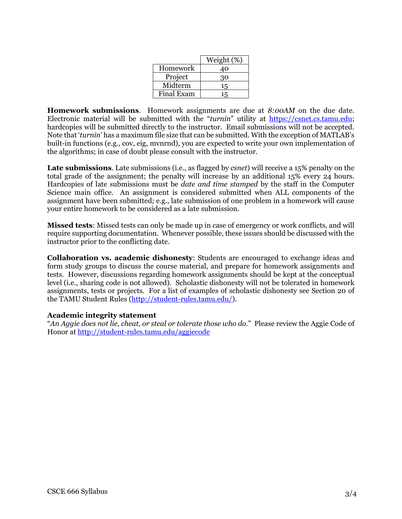|            | Weight (%) |
|------------|------------|
| Homework   | 40         |
| Project    | 30         |
| Midterm    | 15         |
| Final Exam | I৸         |

**Homework submissions**. Homework assignments are due at *8:00AM* on the due date. Electronic material will be submitted with the "*turnin*" utility at [https://csnet.cs.tamu.edu;](https://csnet.cs.tamu.edu/) hardcopies will be submitted directly to the instructor. Email submissions will not be accepted. Note that '*turnin*' has a maximum file size that can be submitted. With the exception of MATLAB's built-in functions (e.g., cov, eig, mvnrnd), you are expected to write your own implementation of the algorithms; in case of doubt please consult with the instructor.

**Late submissions**. Late submissions (i.e., as flagged by *csnet*) will receive a 15% penalty on the total grade of the assignment; the penalty will increase by an additional 15% every 24 hours. Hardcopies of late submissions must be *date and time stamped* by the staff in the Computer Science main office. An assignment is considered submitted when ALL components of the assignment have been submitted; e.g., late submission of one problem in a homework will cause your entire homework to be considered as a late submission.

**Missed tests**: Missed tests can only be made up in case of emergency or work conflicts, and will require supporting documentation. Whenever possible, these issues should be discussed with the instructor prior to the conflicting date.

**Collaboration vs. academic dishonesty**: Students are encouraged to exchange ideas and form study groups to discuss the course material, and prepare for homework assignments and tests. However, discussions regarding homework assignments should be kept at the conceptual level (i.e., sharing code is not allowed). Scholastic dishonesty will not be tolerated in homework assignments, tests or projects. For a list of examples of scholastic dishonesty see Section 20 of the TAMU Student Rules [\(http://student-rules.tamu.edu/\)](http://student-rules.tamu.edu/).

### **Academic integrity statement**

"*An Aggie does not lie, cheat, or steal or tolerate those who do.*" Please review the Aggie Code of Honor at<http://student-rules.tamu.edu/aggiecode>